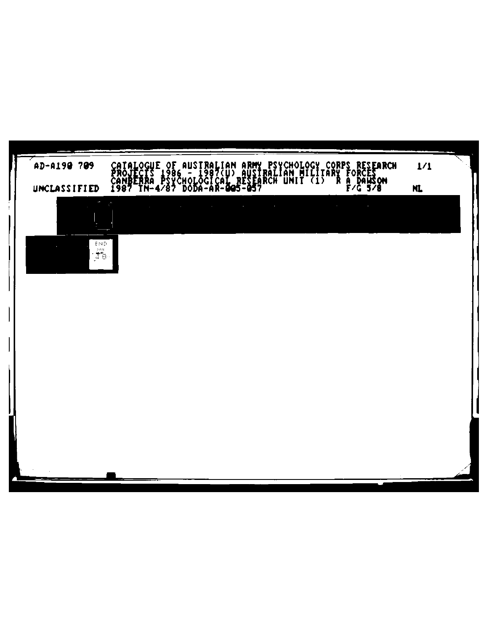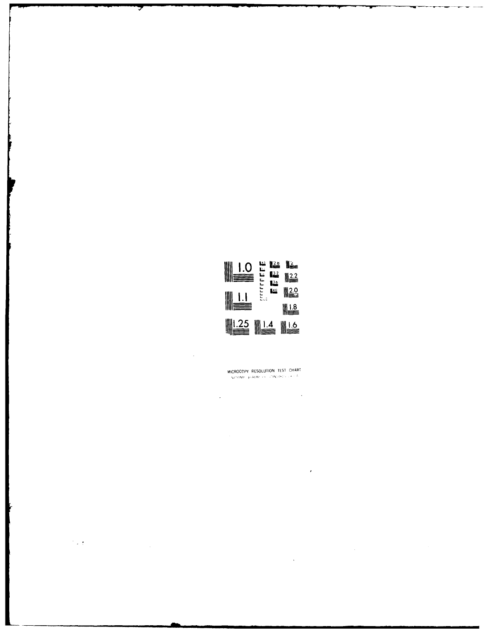

MICROCOPY RESOLUTION TEST CHART  $\label{eq:11} \langle \hat{S}_{\mathbf{A}}^{\mathbf{A}}(t) \hat{\mathbf{N}}_{\mathbf{A}}^{\mathbf{A}} \rangle = \hat{\mathbf{B}}_{\mathbf{A}}^{\mathbf{A}} \hat{\mathbf{A}}_{\mathbf{A}}^{\mathbf{A}} \rangle + o(\varepsilon) \mathcal{A}_{\mathbf{A}}^{\mathbf{A}} \hat{\mathbf{A}}_{\mathbf{A}}^{\mathbf{A}} \hat{\mathbf{A}}_{\mathbf{A}}^{\mathbf{A}} \rangle + \varepsilon \langle \hat{\mathbf{a}} \rangle \leq \delta \varepsilon \langle \hat{\mathbf{a}} \rangle$ 

 $\sim$   $\sim$ 

 $\hat{\boldsymbol{\epsilon}}$ 

 $\bar{z}$ 

 $\label{eq:2.1} \frac{1}{\sqrt{2}}\int_{0}^{\infty}\frac{1}{\sqrt{2\pi}}\left(\frac{1}{\sqrt{2\pi}}\right)^{2}d\mu_{\rm{max}}^{2}d\mu_{\rm{max}}^{2}$ 

 $\bar{\beta}$ 

 $\mathcal{O}(\mathbb{Z}/2)$ 

 $\sim$   $\sim$ 

 $\ddot{\phantom{0}}$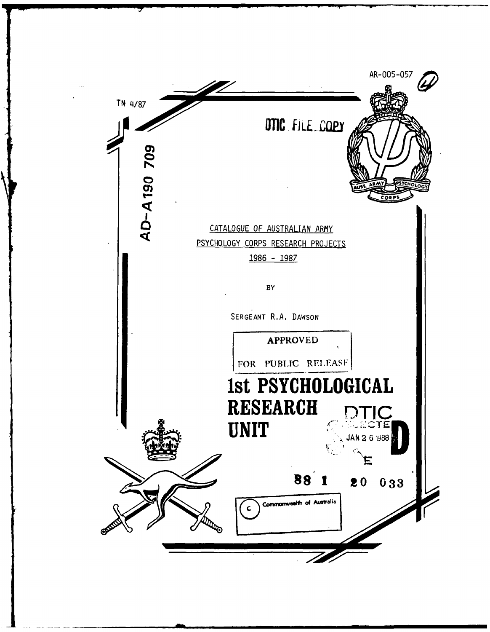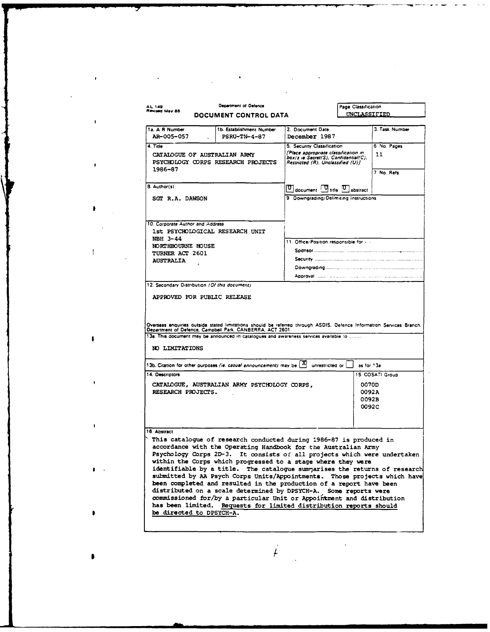| <b>AL 149</b><br>Revised May 86               | <b>Department of Defence</b><br>DOCUMENT CONTROL DATA                                                                                                                                                                                                                                                    |                                                                                        | Page Classification<br>UNCLASSIFIED                                                                               |                  |
|-----------------------------------------------|----------------------------------------------------------------------------------------------------------------------------------------------------------------------------------------------------------------------------------------------------------------------------------------------------------|----------------------------------------------------------------------------------------|-------------------------------------------------------------------------------------------------------------------|------------------|
| 1a. A R Number<br>AR-005-057                  | 1b. Establishment Number<br><b>PSRU-TN-4-87</b>                                                                                                                                                                                                                                                          | 2. Document Date<br>December 1987                                                      |                                                                                                                   | 3. Task Number   |
| 4. Title                                      |                                                                                                                                                                                                                                                                                                          | 5. Security Classification                                                             |                                                                                                                   | 6 No. Pages      |
| 1986-87                                       | CATALOGUE OF AUSTRALIAN ARMY<br>PSYCHOLOGY CORPS RESEARCH PROJECTS                                                                                                                                                                                                                                       |                                                                                        | [Place appropriate classification in<br>box/s ie Secret(S), Confidential(C),<br>Restricted (R), Unclassified (U)] | 11<br>7 No. Refs |
| 8. Author(s)                                  |                                                                                                                                                                                                                                                                                                          | $\boxed{\mathbf{U}}$ document $\boxed{\mathbf{U}}$ title $\boxed{\mathbf{U}}$ abstract |                                                                                                                   |                  |
| SGT R.A. DAWSON                               |                                                                                                                                                                                                                                                                                                          | 9. Downgrading/Delimiting Instructions                                                 |                                                                                                                   |                  |
| 12. Secondary Distribution (Of this document) |                                                                                                                                                                                                                                                                                                          |                                                                                        |                                                                                                                   |                  |
|                                               | APPROVED FOR PUBLIC RELEASE<br>Overseas enquiries outside stated limitations should be referred through ASDIS. Defence Information Services Branch,<br>Department of Defence, Campbell Park, CANBERRA, ACT 2601<br>13a. This document may be announced in catalogues and awareness services available to |                                                                                        |                                                                                                                   |                  |
| NO LIMITATIONS                                |                                                                                                                                                                                                                                                                                                          |                                                                                        |                                                                                                                   |                  |
|                                               | 13b. Citation for other purposes (ie. casual announcement) may be $\boxed{X}$                                                                                                                                                                                                                            | unrestricted or                                                                        | as for 13a                                                                                                        |                  |
| 14. Descriptors<br>RESEARCH PROJECTS.         | CATALOGUE, AUSTRALIAN ARMY PSYCHOLOGY CORPS,                                                                                                                                                                                                                                                             |                                                                                        | 0070D<br>0092A<br>0092B<br>0092C                                                                                  | 15. COSATI Group |
| 16. Abstract                                  | This catalogue of research conducted during 1986-87 is produced in<br>accordance with the Operating Handbook for the Australian Army                                                                                                                                                                     |                                                                                        |                                                                                                                   |                  |

 $\label{eq:2.1} \frac{1}{\sqrt{2}}\left(\frac{1}{\sqrt{2}}\right)^{2} \left(\frac{1}{\sqrt{2}}\right)^{2} \left(\frac{1}{\sqrt{2}}\right)^{2} \left(\frac{1}{\sqrt{2}}\right)^{2} \left(\frac{1}{\sqrt{2}}\right)^{2} \left(\frac{1}{\sqrt{2}}\right)^{2} \left(\frac{1}{\sqrt{2}}\right)^{2} \left(\frac{1}{\sqrt{2}}\right)^{2} \left(\frac{1}{\sqrt{2}}\right)^{2} \left(\frac{1}{\sqrt{2}}\right)^{2} \left(\frac{1}{\sqrt{2}}\right)^{2} \left(\$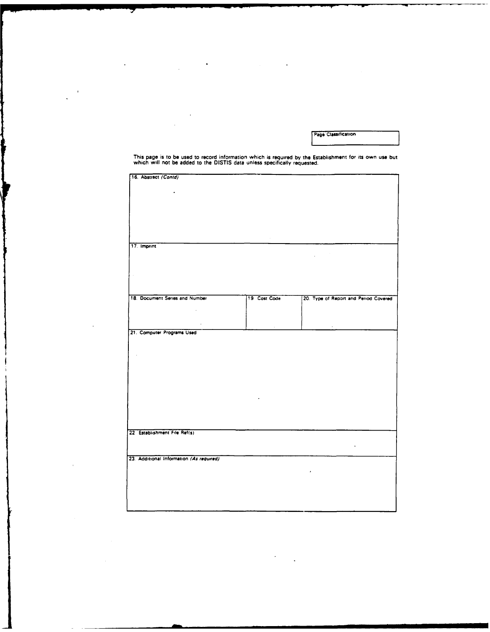Page Classification

This page is to be used to record information which is required **by** the Establishment for its own use but which will not **be** added to the **DISTIS** data unless specifically requested.

 $\ddot{\phantom{a}}$ 

 $\ddot{\phantom{0}}$ 

 $\ddot{\phantom{a}}$ 

 $\bar{z}$ 

| 16. Abstract (Contd)                     |              |                                               |
|------------------------------------------|--------------|-----------------------------------------------|
|                                          |              |                                               |
|                                          |              |                                               |
|                                          |              |                                               |
|                                          |              |                                               |
|                                          |              |                                               |
|                                          |              |                                               |
|                                          |              |                                               |
|                                          |              |                                               |
|                                          |              |                                               |
|                                          |              |                                               |
|                                          |              |                                               |
|                                          |              |                                               |
|                                          |              |                                               |
| 17. Imprint                              |              |                                               |
|                                          |              |                                               |
|                                          |              | $\mathcal{L}^{\text{max}}_{\text{max}}$<br>÷. |
|                                          |              |                                               |
|                                          |              |                                               |
|                                          |              |                                               |
|                                          |              |                                               |
|                                          |              |                                               |
|                                          |              |                                               |
|                                          |              |                                               |
|                                          |              |                                               |
| 18. Document Series and Number           | 19 Cost Code | 20. Type of Report and Period Covered         |
|                                          |              |                                               |
|                                          |              |                                               |
| $\star$                                  |              |                                               |
|                                          |              |                                               |
|                                          |              |                                               |
| $\epsilon$                               |              |                                               |
| 21. Computer Programs Used               |              |                                               |
|                                          |              |                                               |
|                                          |              |                                               |
|                                          |              |                                               |
|                                          |              |                                               |
|                                          |              |                                               |
|                                          |              |                                               |
|                                          |              |                                               |
|                                          |              |                                               |
|                                          |              |                                               |
|                                          |              |                                               |
|                                          |              |                                               |
|                                          |              |                                               |
|                                          |              |                                               |
|                                          |              |                                               |
|                                          |              |                                               |
|                                          |              |                                               |
|                                          |              |                                               |
|                                          |              |                                               |
|                                          |              |                                               |
|                                          |              |                                               |
|                                          |              |                                               |
| 22. Establishment File Ref(s)            |              |                                               |
|                                          |              |                                               |
|                                          |              |                                               |
|                                          |              |                                               |
|                                          |              |                                               |
| 23. Additional Information (As required) |              |                                               |
|                                          |              |                                               |
|                                          |              |                                               |
|                                          |              |                                               |
|                                          |              |                                               |
|                                          |              |                                               |
|                                          |              |                                               |
|                                          |              |                                               |
|                                          |              |                                               |
|                                          |              |                                               |
|                                          |              |                                               |
|                                          |              |                                               |

 $\ddot{\phantom{1}}$ 

 $\ddot{\phantom{a}}$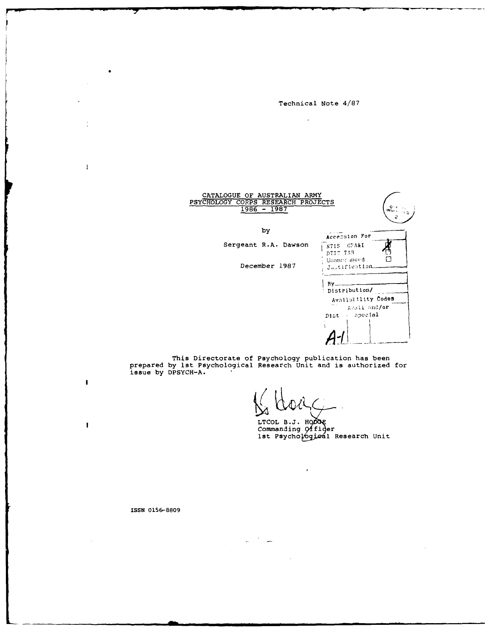Technical Note 4/87

 $\mathcal{L}$ 



This Directorate of Psychology publication has been<br>prepared by lst Psychological Research Unit and is authorized for<br>issue by DPSYCH-A.

LTCOL B.J. HODGE<br>Commanding Officer<br>Ist Psychological Research Unit

ISSN 0156-8809

÷

 $\mathbf{I}$ 

 $\mathbf{I}$ 

 $\mathbf{I}$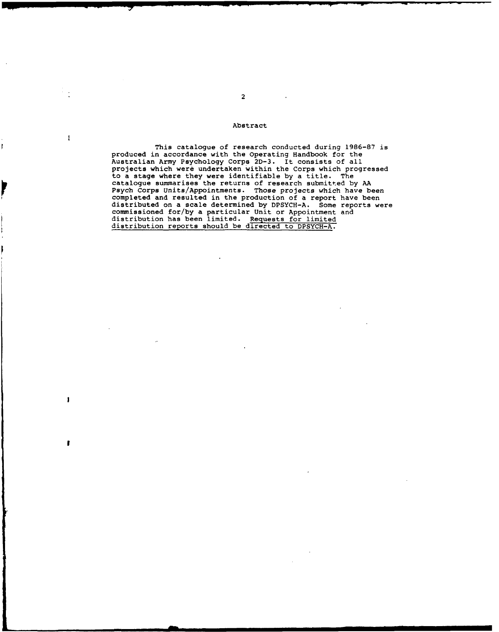## Abstract

 $\mathbf{I}$ 

 $\mathbf{I}$ 

T

ľ

This catalogue of research conducted during 1986-87 is produced in accordance with the Operating Handbook for the Australian Army Psychology Corps **2D-3.** It consists of all projects which were undertaken within the Corps which progressed to a stage where they were identifiable by a title. The catalogue summarises the returns of research submitted by AA Psych Corps Units/Appointments. Those projects which have been completed and resulted in the production of a report have been distributed on a scale determined by DPSYCH-A. Some reports were commissioned for/by a particular Unit or Appointment and distribution has been limited. Requests for limited distribution reports should be directed to DPSYCH-A.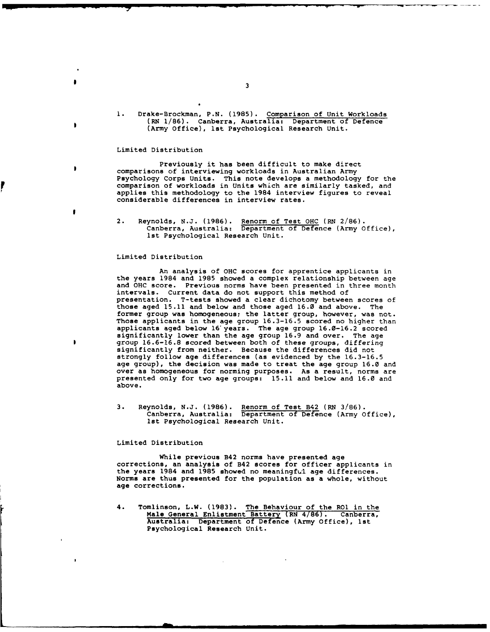**1.** Drake-Brockman, P.N. **(1985).** Comparison of Unit Workloads (RN 1/86). Canberra, Australia: Department of Defence (Army Office), lst Psychological Research Unit.

# Limited Distribution

¥

Previously it has been difficult to make direct comparisons of interviewing workloads in Australian Army Psychology Corps Units. This note develops a methodology for the comparison of workloads in Units which are similarly tasked, and applies this methodology to the 1984 interview figures to reveal considerable differences in interview rates.

## Limited Distribution

An analysis **of OHC** scores for apprentice applicants in the years 1984 and **1985** showed a complex relationship between age and **OHC** score. Previous norms have been presented in three month intervals. Current data do not support this method of presentation. T-tests showed a clear dichotomy between scores of those aged **15.11** and below and those aged 16.0 and above. The former group was homogeneous; the latter group, however, was not. Those applicants in the age group **16.3-16.5** scored no higher than applicants aged below 16'years. The age group **16.0-16.2** scored significantly lower than the age group **16.9** and over. The age group 16.6-16.8 scored between both of these groups, differing significantly from neither. Because the differences did not strongly follow age differences (as evidenced **by** the **16.3-16.5** age group), the decision was made to treat the age group **16.0** and over as homogeneous for norming purposes. As a result, norms are presented only for two age groups: **15.11** and below and **16.0** and above.

**3.** Reynolds, N.J. **(1986).** Renorm of Test B42 (RN **3/86).** Canberra, Australia: Department of Defence (Army Office), 1st Psychological Research Unit.

## Limited Distribution

While previous B42 norms have presented age corrections, an analysis of B42 scores for officer applicants in the years 1984 and **1985** showed no meaningful age differences. Norms are thus presented for the population as a whole, without age corrections.

4. Tomlinson, L.W. **(1983).** The Behaviour of the **RO** in the Male General Enlistment Battery (RN 4/86). Canberra, Australia: Department of Defence (Army Office), lst Psychological Research Unit.

<sup>2.</sup> Reynolds, **N.J. (1986).** Renorm of Test **OHC** (RN **2/86).** Canberra, Australia: Department **of** Defence (Army Office), ist Psychological Research Unit.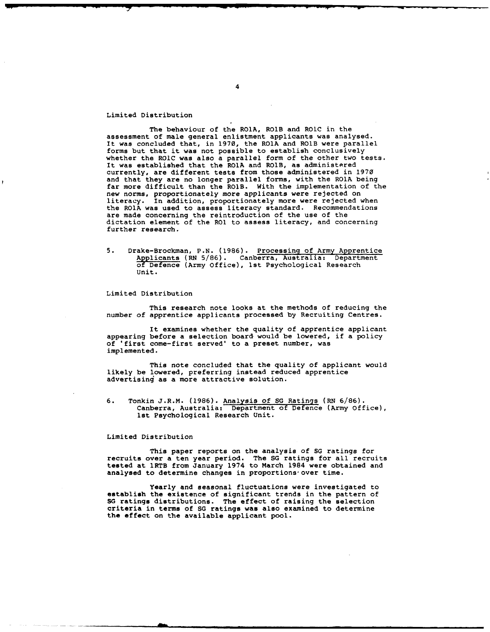# Limited Distribution

The behaviour of the ROlA, ROIB and ROIC in the assessment of male general enlistment applicants was analysed. It was concluded that, in 1970, the ROIA and ROIB were parallel forms but that it was not possible to establish conclusively whether the ROIC was also a parallel form of the other two tests. It was established that the ROlA and ROlB, as administered currently, are different tests from those administered in 1970 and that they are no longer parallel forms, with the ROIA being<br>far more difficult than the ROIB. With the implementation of the new norms, proportionately more applicants were rejected on<br>literacy. In addition, proportionately more were rejected when the ROIA was used to assess literacy standard. Recommendations are made concerning the reintroduction of the use of the dictation element of the RO1 to assess literacy, and concerning further research.

5. Drake-Brockman, **P.N.** (1986). Processing of Army Apprentice Applicants (RN 5/86). Canberra, Australia: Department of Defence (Army Office), 1st Psychological Research Unit.

Limited Distribution

This research note looks at the methods of reducing the number of apprentice applicants processed by Recruiting Centres.

It examines whether the quality of apprentice applicant appearing before a selection board would be lowered, if a policy of 'first come-first served' to a preset number, was implemented.

This note concluded that the quality of applicant would likely be lowered, preferring instead reduced apprentice advertising as a more attractive solution.

6. Tonkin J.R.M. **(1986).** Analysis of **SG** Ratings (RN 6/86). Canberra, Australia: Department of Defence (Army Office), 1st Psychological Research Unit.

### Limited Distribution

This paper reports on the analysis of **SG** ratings for recruits over a ten year period. The **SG** ratings for all recruits tested at 1RTB from January 1974 to March 1984 were obtained and analysed to determine changes in proportions over time.

Yearly and seasonal fluctuations were investigated to establish the existence of significant trends in the pattern of **SG** ratings distributions. The effect of raising the selection criteria in terms of **SG** ratings was also examined to determine the effect on the available applicant pool.

4

\* \* **I 7** - **--**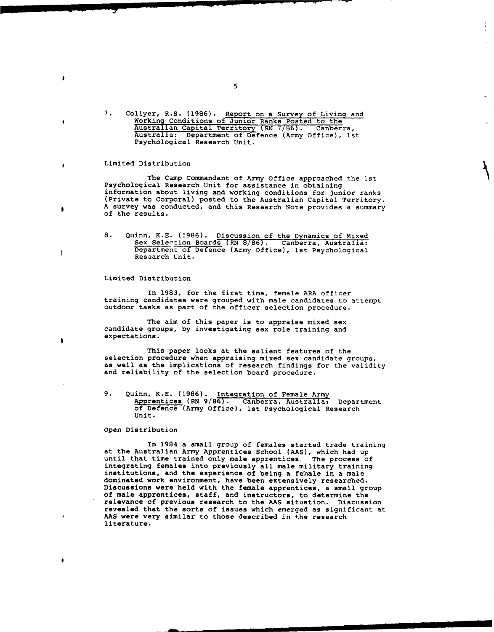7. Collyer, R.S. (1986). Report on a Survey of Living and Working Conditions of Junior Ranks Posted to the Australian Capital Territory (RN 7/86). Canberra, Australia: Department of Defence (Army Office), ist Psychological Research Unit.

# Limited Distribution

 $\lambda$ 

 $\bullet$ 

 $\lambda$ 

 $\bullet$ 

 $\mathbf{I}$ 

The Camp Commandant of Army Office approached the 1st Psychological Research Unit for assistance in obtaining information about living and working conditions for junior ranks (Private to Corporal) posted to the Australian Capital Territory. A survey was conducted, and this Research Note provides a summary of the results.

8. Quinn, K.E. (1986). Discussion of the Dynamics of Mixed Sex Selection Boards (RN 8/86). Canberra, Australia: Department of Defence (Army Office), 1st Psychological Research Unit.

# Limited Distribution

In 1983, for the first time, female ARA officer training candidates were grouped with male candidates to attempt outdoor tasks as part of the officer selection procedure.

The aim of this paper is to appraise mixed sex candidate groups, by investigating sex role training and expectations.

This paper looks at the salient features of the selection procedure when appraising mixed sex candidate groups, as well as the implications of research findings for the validity and reliability of the selection board procedure.

9. Quinn, K.E. (1986). Integration of Female Army Aprentices (RN 9/86). Canberra, Australia: Department of Defence (Army Office), lst Psychological Research Unit.

### Open Distribution

In 1984 a small group of females started trade training at the Australian Army Apprentices School (AAS), which had up until that time trained only male apprentices. The process of integrating females into previously all male military training institutions, and the experience of being a fe'nale in a male dominated work environment, have been extensively researched. Discussions were held with the female apprentices, **a** small group of male apprentices, staff, and instructors, to determine the relevance of previous research to the **AAS** situation. Discussion revealed that the sorts of issues which emerged as significant at **AAS** were very similar to those described in the research literature.

 $\overline{5}$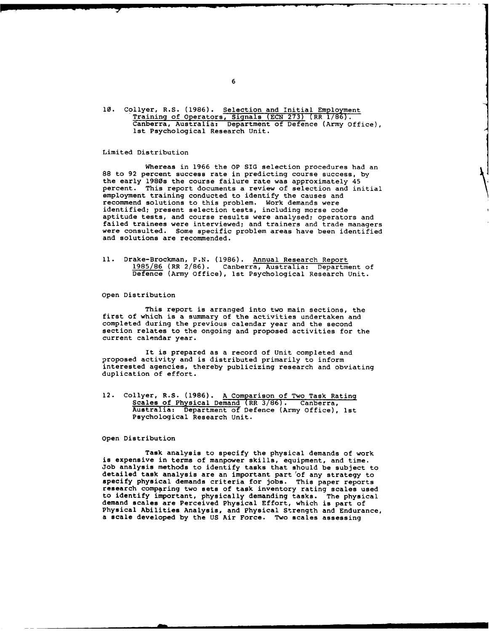10. Collyer, R.S. (1986). Selection and Initial Employment Training of Operators, Signals (ECN 273) **(RR** 1/86). Canberra, Australia: Department of Defence (Army Office), ist Psychological Research Unit.

## Limited Distribution

Whereas in 1966 the OP SIG selection procedures had an 88 to 92 percent success rate in predicting course success, by the early 1980s the course failure rate was approximately 45 percent. This report documents a review of selection and initial employment training conducted to identify the causes and recommend solutions to this problem. Work demands were identified; present selection tests, including morse code aptitude tests, and course results were analysed; operators and failed trainees were interviewed; and trainers and trade managers were consulted. Some specific problem areas have been identified and solutions are recommended.

**11.** Drake-Brockman, P.N. (1986). Annual Research Report 1985/86 (RR 2/86). Canberra, Australia: Department of Defence (Army Office), ist Psychological Research Unit.

Open Distribution

This report is arranged into two main sections, the first of which is a summary of the activities undertaken and completed during the previous calendar year and the second section relates to the ongoing and proposed activities for the current calendar year.

It is prepared as a record of Unit completed and proposed activity and is distributed primarily to inform interested agencies, thereby publicizing research and obviating duplication of effort.

12. Collyer, R.S. (1986). A Comparison of Two Task Rating Scales of Physical Demand (RR 3/86). Canberra, Australia: Department of Defence (Army Office), ist Psychological Research Unit.

Open Distribution

Task analysis to specify the physical demands of work is expensive in terms of manpower skills, equipment, and time. Job analysis methods to identify tasks that should be subject to detailed task analysis are an important part 'of any strategy to specify physical demands criteria for jobs. This paper reports research comparing two sets of task inventory rating scales used to identify important, physically demanding tasks. The physical demand scales are Perceived Physical Effort, which is part of Physical Abilities Analysis, and Physical Strength and Endurance, a scale developed by the US Air Force. Two scales assessing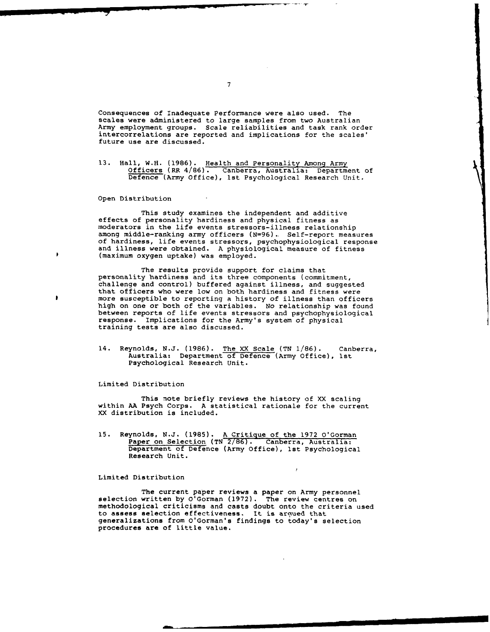Consequences of Inadequate Performance were also used. The scales were administered to large samples from two Australian Army employment groups. Scale reliabilities and task rank order intercorrelations are reported and implications for the scales' future use are discussed.

13. Hall, W.H. (1986). Health and Personality Among Army Officers (RR 4/86). Canberra, Australia: Department of Defence (Army Office), ist Psychological Research Unit.

Open Distribution

٠

 $\bullet$ 

This study examines the independent and additive effects of personality hardiness and physical fitness as moderators in the life events stressors-illness relationship among middle-ranking army officers (N=96). Self-report measures<br>of hardiness, life events stressors, psychophysiological response and illness were obtained. A physiological measure of fitness (maximum oxygen uptake) was employed.

The results provide support for claims that personality hardiness and its three components (commitment, challenge and control) buffered against illness, and suggested that officers who were low on both hardiness and fitness were more susceptible to reporting a history of illness than officers high on one or both of the variables. No relationship was found between reports of life events stressors and psychophysiological response. Implications for the Army's system of physical training tests are also discussed.

14. Reynolds, N.J. (1986). The XX Scale (TN 1/86). Canberra, Australia: Department of Defence (Army Office), 1st Psychological Research Unit.

Limited Distribution

This note briefly reviews the history of XX scaling within AA Psych Corps. A statistical rationale for the current XX distribution is included.

15. Reynolds, N.J. (1985). A Critique of the 1972 O'Gorman Paper on Selection (TN 2/86). Canberra, Australia: Department of Defence (Army Office), Ist Psychological Research Unit.

# Limited Distribution

The current paper reviews a paper on Army personnel<br>selection written by O'Gorman (1972). The review centres on methodological criticisms and casts doubt onto the criteria used to assess selection effectiveness. It is argued that generalizations from O'Gorman's findings to today's selection procedures **are** of little value.

 $\overline{7}$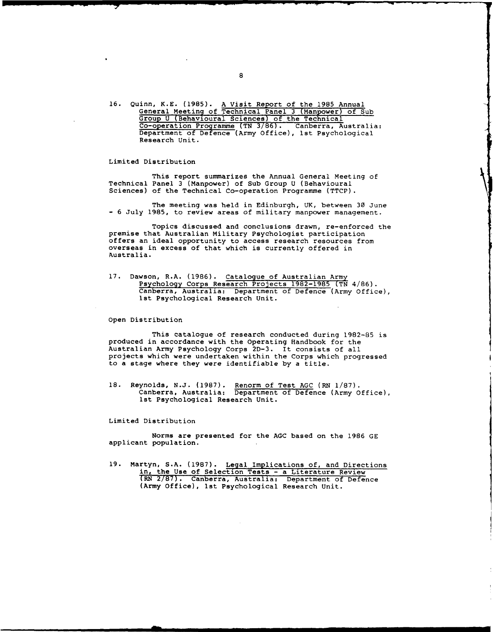16. Quinn, K.E. (1985). A Visit Report of the 1985 Annual General Meeting of Technical Panel 3 (Manpower) of Sub Group U (Behavioural Sciences) of the Technical Co-operation Programme (TN 3/86). Canberra, Australia: Department of Defence (Army Office), 1st Psychological Research Unit.

## Limited Distribution

This report summarizes the Annual General Meeting of Technical Panel 3 (Manpower) of Sub Group U (Behavioural Sciences) of the Technical Co-operation Programme (TTCP).

The meeting was held in Edinburgh, UK, between **30** June - 6 July 1985, to review areas of military manpower management.

Topics discussed and conclusions drawn, re-enforced the premise that Australian Military Psychologist participation offers an ideal opportunity to access research resources from overseas in excess of that which is currently offered in Australia.

17. Dawson, R.A. (1986). Catalogue of Australian Army Psychology Corps Research Projects 1982-1985 (TN 4/86). Canberra, Australia: Department of Defence (Army Office), ist Psychological Research Unit.

Open Distribution

This catalogue of research conducted during 1982-85 is produced in accordance with the Operating Handbook for the Australian Army Psychology Corps 2D-3. It consists of all projects which were undertaken within the Corps which progressed to a stage where they were identifiable by a title.

18. Reynolds, N.J. (1987). Renorm of Test AGC (RN 1/87). Canberra, Australia: Department of Defence (Army Office), 1st Psychological Research Unit.

Limited Distribution

Norms are presented for the AGC based on the 1986 GE applicant population.

19. Martyn, S.A. (1987). Legal Implications of, and Directions in, the Use of Selection Tests - a Literature Review (RN 2/87). Canberra, Australia: Department of Defence (Army Office), 1st Psychological Research Unit.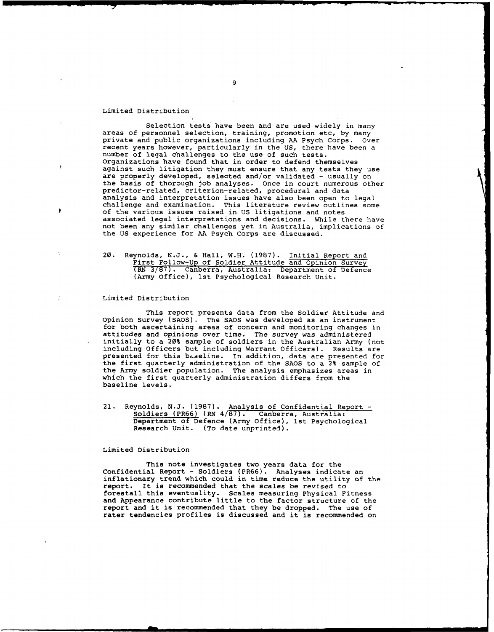#### Limited Distribution

Selection tests have been and are used widely in many areas of personnel selection, training, promotion etc, by many private and public organizations including AA Psych Corps. Over recent years however, particularly in the US, there have been a number of legal challenges to the use of such tests. Organizations have found that in order to defend themselves against such litigation they must ensure that any tests they use are properly developed, selected and/or validated - usually on<br>the basis of thorough job analyses. Once in court numerous other predictor-related, criterion-related, procedural and data analysis and interpretation issues have also been open to legal challenge and examination. This literature review outlines some of the various issues raised in US litigations and notes associated legal interpretations and decisions. While there have not been any similar challenges yet in Australia, implications of the US experience for AA Psych Corps are discussed.

20. Reynolds, N.J., & Hall, W.H. (1987). Initial Report and First Follow-Up of Soldier Attitude and Opinion Survey (RN 3/87). Canberra, Australia: Department of Defence (Army Office), ist Psychological Research Unit.

#### Limited Distribution

This report presents data from the Soldier Attitude and Opinion Survey (SAOS). The SAOS was developed as an instrument for both ascertaining areas of concern and monitoring changes in attitudes and opinions over time. The survey was administered initially to a 20% sample of soldiers in the Australian Army (not including Officers but including Warrant Officers). Results are presented for this baseline. In addition, data are presented for the first quarterly administration of the SAOS to a 2% sample of the Army soldier population. The analysis emphasizes areas in which the first quarterly administration differs from the baseline levels.

21. Reynolds, N.J. (1987). Analysis of Confidential Report - Soldiers (PR66) (RN 4/87). Canberra, Australia: Department of Defence (Army Office), ist Psychological Research Unit. (To date unprinted).

Limited Distribution

This note investigates two years data for the Confidential Report - Soldiers (PR66). Analyses indicate an inflationary trend which could in time reduce the utility of the report. It is recommended that the scales be revised to forestall this eventuality. Scales measuring Physical Fitness and Appearance contribute little to the factor structure of the report and it is recommended that they be dropped. The use of rater tendencies profiles is discussed and it is recommended on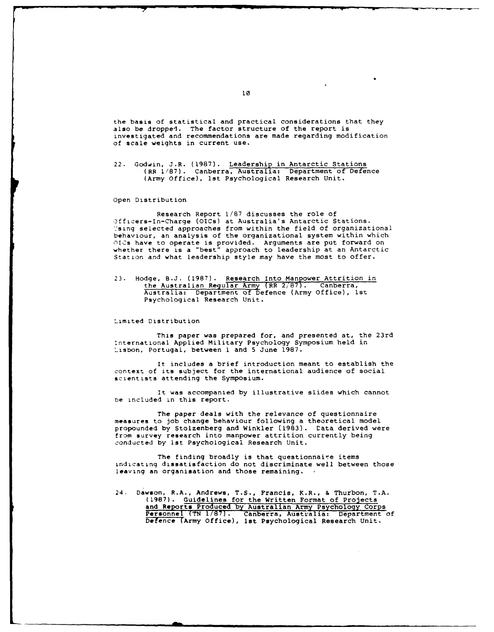the basis of statistical and practical considerations that they also be dropped. The factor structure of the report is investigated and recommendations are made regarding modification of scale weights in current use.

22. Godwin, J.R. (1987). Leadership in Antarctic Stations (RR 1/87). Canberra, Australia: Department of Defence (Army Office), 1st Psychological Research Unit.

#### Open Distribution

Research Report 1/87 discusses the role of Dfficers-In-Charge (OICs) at Australia's Antarctic Stations. 'sing selected approaches from within the field of organizational behaviour, an analysis of the organizational system within which OICs have to operate is provided. Arguments are put forward on whether there is a "best" approach to leadership at an Antarctic Station and what leadership style may have the most to offer.

23. Hodge, S.J. (1987). Research Into Manpower Attrition in the Australian Regular Army (RR 2/87). Canberra, Australia: Department of Defence (Army Office), Ist Psychological Research Unit.

### Limited Distribution

This paper was prepared for, and presented at, the 23rd :nternational Applied Military Psychology Symposium held in Lisbon, Portugal, between **I** and 5 June 1987.

It includes a brief introduction meant to establish the context of its subject for the international audience of social scientists attending the Symposium.

It was accompanied by illustrative slides which cannot be included in this report.

The paper deals with the relevance of questionnaire measures to job change behaviour following a theoretical model propounded by Stolzenberg and Winkler (1983). Data derived were from survey research into manpower attrition currently being conducted by ist Psychological Research Unit.

The finding broadly is that questionnaire items indicating dissatisfaction do not discriminate well between those leaving an organisation and those remaining.

24. Dawson, R.A., Andrews, T.S., Francis, K.R., & Thurbon, T.A. (1987). Guidelines for the Written Format of Projects and Reports Produced **by** Australian Army Psychology Corps Personnel (TN 1/87). Canberra, Australia: Department of Defence (Army Office), ist Psychological Research Unit.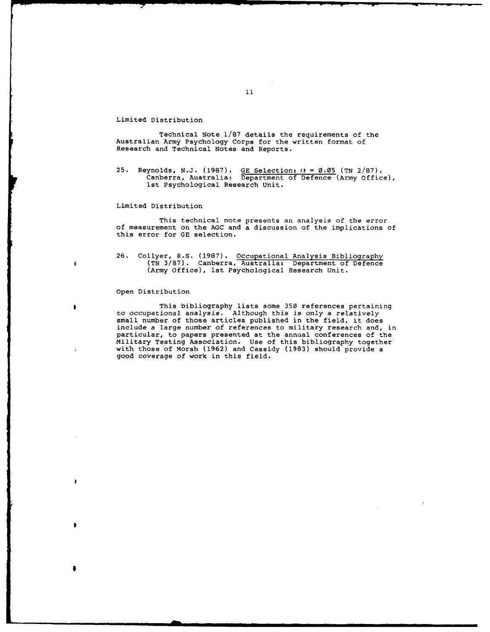#### Limited Distribution

Technical Note 1/87 details the requirements of the Australian Army Psychology Corps for the written format of Research and Technical Notes and Reports.

25. Reynolds, N.J. (1987). GE Selection:  $(k = 0.05$  (TN 2/87). Canberra, Australia: Department of Defence (Army Office), ist Psychological Research Unit.

#### Limited Distribution

This technical note presents an analysis of the error of measurement on the AGC and a discussion of the implications of this error for GE selection.

26. Collyer, R.S. (1987). Occupational Analysis Bibliography (TN 3/87). Canberra, Australia: Department of Defence (Army Office), ist Psychological Research Unit.

# Open Distribution

ï

h

 $\mathbf{r}$ 

This bibliography lists some **350** references pertaining to occupational analysis. Although this is only a relatively small number of those articles published in the field, it does include a large number of references to military research and, in particular, to papers presented at the annual conferences of the Military Testing Association. Use of this bibliography together ' with those of Morsh (1962) and Cassidy (1983) should provide a good coverage of work in this field.